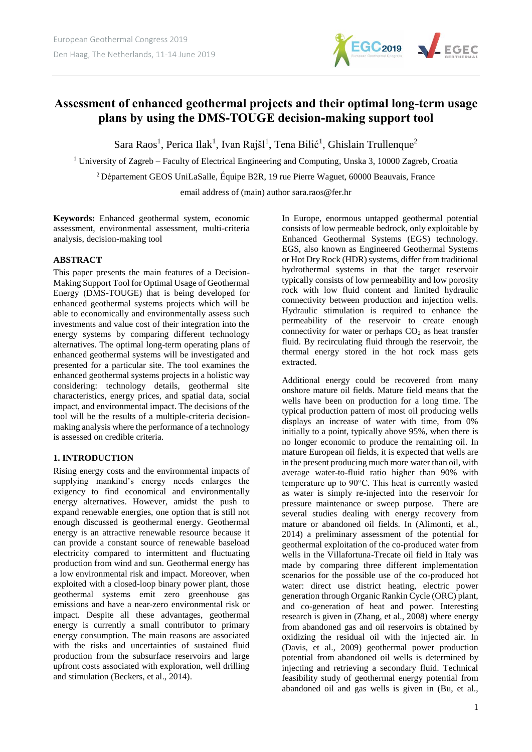

# **Assessment of enhanced geothermal projects and their optimal long-term usage plans by using the DMS-TOUGE decision-making support tool**

Sara Raos<sup>1</sup>, Perica Ilak<sup>1</sup>, Ivan Rajšl<sup>1</sup>, Tena Bilić<sup>1</sup>, Ghislain Trullenque<sup>2</sup>

<sup>1</sup> University of Zagreb – Faculty of Electrical Engineering and Computing, Unska 3, 10000 Zagreb, Croatia

<sup>2</sup> Département GEOS UniLaSalle, Équipe B2R, 19 rue Pierre Waguet, 60000 Beauvais, France

email address of (main) author sara.raos@fer.hr

**Keywords:** Enhanced geothermal system, economic assessment, environmental assessment, multi-criteria analysis, decision-making tool

#### **ABSTRACT**

This paper presents the main features of a Decision-Making Support Tool for Optimal Usage of Geothermal Energy (DMS-TOUGE) that is being developed for enhanced geothermal systems projects which will be able to economically and environmentally assess such investments and value cost of their integration into the energy systems by comparing different technology alternatives. The optimal long-term operating plans of enhanced geothermal systems will be investigated and presented for a particular site. The tool examines the enhanced geothermal systems projects in a holistic way considering: technology details, geothermal site characteristics, energy prices, and spatial data, social impact, and environmental impact. The decisions of the tool will be the results of a multiple-criteria decisionmaking analysis where the performance of a technology is assessed on credible criteria.

## **1. INTRODUCTION**

Rising energy costs and the environmental impacts of supplying mankind's energy needs enlarges the exigency to find economical and environmentally energy alternatives. However, amidst the push to expand renewable energies, one option that is still not enough discussed is geothermal energy. Geothermal energy is an attractive renewable resource because it can provide a constant source of renewable baseload electricity compared to intermittent and fluctuating production from wind and sun. Geothermal energy has a low environmental risk and impact. Moreover, when exploited with a closed-loop binary power plant, those geothermal systems emit zero greenhouse gas emissions and have a near-zero environmental risk or impact. Despite all these advantages, geothermal energy is currently a small contributor to primary energy consumption. The main reasons are associated with the risks and uncertainties of sustained fluid production from the subsurface reservoirs and large upfront costs associated with exploration, well drilling and stimulation (Beckers, et al., 2014).

In Europe, enormous untapped geothermal potential consists of low permeable bedrock, only exploitable by Enhanced Geothermal Systems (EGS) technology. EGS, also known as Engineered Geothermal Systems or Hot Dry Rock (HDR) systems, differ from traditional hydrothermal systems in that the target reservoir typically consists of low permeability and low porosity rock with low fluid content and limited hydraulic connectivity between production and injection wells. Hydraulic stimulation is required to enhance the permeability of the reservoir to create enough connectivity for water or perhaps  $CO<sub>2</sub>$  as heat transfer fluid. By recirculating fluid through the reservoir, the thermal energy stored in the hot rock mass gets extracted.

Additional energy could be recovered from many onshore mature oil fields. Mature field means that the wells have been on production for a long time. The typical production pattern of most oil producing wells displays an increase of water with time, from 0% initially to a point, typically above 95%, when there is no longer economic to produce the remaining oil. In mature European oil fields, it is expected that wells are in the present producing much more water than oil, with average water-to-fluid ratio higher than 90% with temperature up to 90°C. This heat is currently wasted as water is simply re-injected into the reservoir for pressure maintenance or sweep purpose. There are several studies dealing with energy recovery from mature or abandoned oil fields. In (Alimonti, et al., 2014) a preliminary assessment of the potential for geothermal exploitation of the co-produced water from wells in the Villafortuna-Trecate oil field in Italy was made by comparing three different implementation scenarios for the possible use of the co-produced hot water: direct use district heating, electric power generation through Organic Rankin Cycle (ORC) plant, and co-generation of heat and power. Interesting research is given in (Zhang, et al., 2008) where energy from abandoned gas and oil reservoirs is obtained by oxidizing the residual oil with the injected air. In (Davis, et al., 2009) geothermal power production potential from abandoned oil wells is determined by injecting and retrieving a secondary fluid. Technical feasibility study of geothermal energy potential from abandoned oil and gas wells is given in (Bu, et al.,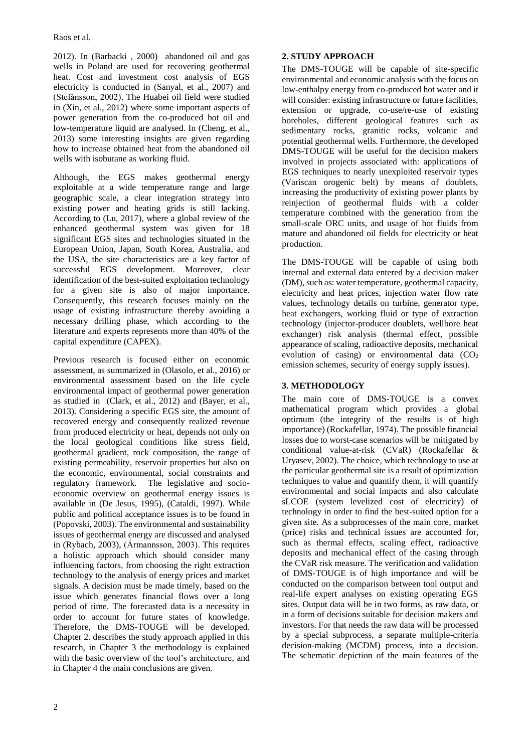<span id="page-1-0"></span>2012). In (Barbacki , 2000) abandoned oil and gas wells in Poland are used for recovering geothermal heat. Cost and investment cost analysis of EGS electricity is conducted in (Sanyal, et al., 2007) and (Stefánsson, 2002). The Huabei oil field were studied in (Xin, et al., 2012) where some important aspects of power generation from the co-produced hot oil and low-temperature liquid are analysed. In (Cheng, et al., 2013) some interesting insights are given regarding how to increase obtained heat from the abandoned oil wells with isobutane as working fluid.

Although, the EGS makes geothermal energy exploitable at a wide temperature range and large geographic scale, a clear integration strategy into existing power and heating grids is still lacking. According to (Lu, 2017), where a global review of the enhanced geothermal system was given for 18 significant EGS sites and technologies situated in the European Union, Japan, South Korea, Australia, and the USA, the site characteristics are a key factor of successful EGS development. Moreover, clear identification of the best-suited exploitation technology for a given site is also of major importance. Consequently, this research focuses mainly on the usage of existing infrastructure thereby avoiding a necessary drilling phase, which according to the literature and experts represents more than 40% of the capital expenditure (CAPEX).

Previous research is focused either on economic assessment, as summarized in (Olasolo, et al., 2016) or environmental assessment based on the life cycle environmental impact of geothermal power generation as studied in (Clark, et al., 2012) and (Bayer, et al., 2013). Considering a specific EGS site, the amount of recovered energy and consequently realized revenue from produced electricity or heat, depends not only on the local geological conditions like stress field, geothermal gradient, rock composition, the range of existing permeability, reservoir properties but also on the economic, environmental, social constraints and regulatory framework. The legislative and socioeconomic overview on geothermal energy issues is available in (De Jesus, 1995), (Cataldi, 1997). While public and political acceptance issues is to be found in (Popovski, 2003). The environmental and sustainability issues of geothermal energy are discussed and analysed in (Rybach, 2003), (Ármannsson, 2003). This requires a holistic approach which should consider many influencing factors, from choosing the right extraction technology to the analysis of energy prices and market signals. A decision must be made timely, based on the issue which generates financial flows over a long period of time. The forecasted data is a necessity in order to account for future states of knowledge. Therefore, the DMS-TOUGE will be developed. Chapter 2. describes the study approach applied in this research, in Chapter 3 the methodology is explained with the basic overview of the tool's architecture, and in Chapter 4 the main conclusions are given.

### **2. STUDY APPROACH**

The DMS-TOUGE will be capable of site-specific environmental and economic analysis with the focus on low-enthalpy energy from co-produced hot water and it will consider: existing infrastructure or future facilities, extension or upgrade, co-use/re-use of existing boreholes, different geological features such as sedimentary rocks, granitic rocks, volcanic and potential geothermal wells. Furthermore, the developed DMS-TOUGE will be useful for the decision makers involved in projects associated with: applications of EGS techniques to nearly unexploited reservoir types (Variscan orogenic belt) by means of doublets, increasing the productivity of existing power plants by reinjection of geothermal fluids with a colder temperature combined with the generation from the small-scale ORC units, and usage of hot fluids from mature and abandoned oil fields for electricity or heat production.

The DMS-TOUGE will be capable of using both internal and external data entered by a decision maker (DM), such as: water temperature, geothermal capacity, electricity and heat prices, injection water flow rate values, technology details on turbine, generator type, heat exchangers, working fluid or type of extraction technology (injector-producer doublets, wellbore heat exchanger) risk analysis (thermal effect, possible appearance of scaling, radioactive deposits, mechanical evolution of casing) or environmental data  $(CO<sub>2</sub>)$ emission schemes, security of energy supply issues).

## **3. METHODOLOGY**

The main core of DMS-TOUGE is a convex mathematical program which provides a global optimum (the integrity of the results is of high importance) (Rockafellar, 1974). The possible financial losses due to worst-case scenarios will be mitigated by conditional value-at-risk (CVaR) (Rockafellar & Uryasev, 2002). The choice, which technology to use at the particular geothermal site is a result of optimization techniques to value and quantify them, it will quantify environmental and social impacts and also calculate sLCOE (system levelized cost of electricity) of technology in order to find the best-suited option for a given site. As a subprocesses of the main core, market (price) risks and technical issues are accounted for, such as thermal effects, scaling effect, radioactive deposits and mechanical effect of the casing through the CVaR risk measure. The verification and validation of DMS-TOUGE is of high importance and will be conducted on the comparison between tool output and real-life expert analyses on existing operating EGS sites. Output data will be in two forms, as raw data, or in a form of decisions suitable for decision makers and investors. For that needs the raw data will be processed by a special subprocess, a separate multiple-criteria decision-making (MCDM) process, into a decision. The schematic depiction of the main features of the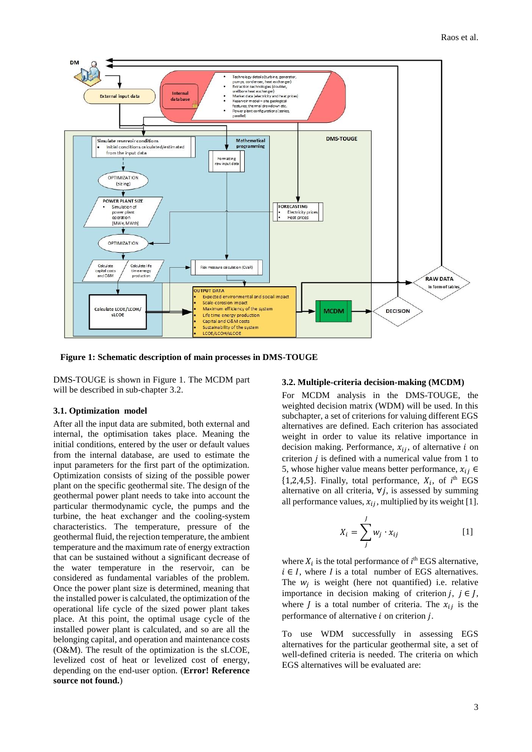

**Figure 1: Schematic description of main processes in DMS-TOUGE**

DMS-TOUGE is shown in [Figure 1.](#page-1-0) The MCDM part will be described in sub-chapter 3.2.

#### **3.1. Optimization model**

After all the input data are submited, both external and internal, the optimisation takes place. Meaning the initial conditions, entered by the user or default values from the internal database, are used to estimate the input parameters for the first part of the optimization. Optimization consists of sizing of the possible power plant on the specific geothermal site. The design of the geothermal power plant needs to take into account the particular thermodynamic cycle, the pumps and the turbine, the heat exchanger and the cooling-system characteristics. The temperature, pressure of the geothermal fluid, the rejection temperature, the ambient temperature and the maximum rate of energy extraction that can be sustained without a significant decrease of the water temperature in the reservoir, can be considered as fundamental variables of the problem. Once the power plant size is determined, meaning that the installed power is calculated, the optimization of the operational life cycle of the sized power plant takes place. At this point, the optimal usage cycle of the installed power plant is calculated, and so are all the belonging capital, and operation and maintenance costs (O&M). The result of the optimization is the sLCOE, levelized cost of heat or levelized cost of energy, depending on the end-user option. (**Error! Reference source not found.**)

#### **3.2. Multiple-criteria decision-making (MCDM)**

For MCDM analysis in the DMS-TOUGE, the weighted decision matrix (WDM) will be used. In this subchapter, a set of criterions for valuing different EGS alternatives are defined. Each criterion has associated weight in order to value its relative importance in decision making. Performance,  $x_{ij}$ , of alternative *i* on criterion  $i$  is defined with a numerical value from 1 to 5, whose higher value means better performance,  $x_{ij} \in$  $\{1,2,4,5\}$ . Finally, total performance,  $X_i$ , of  $i^{\text{th}}$  EGS alternative on all criteria,  $\forall j$ , is assessed by summing all performance values,  $x_{ij}$ , multiplied by its weight [1].

$$
X_i = \sum_{j}^{J} w_j \cdot x_{ij} \tag{1}
$$

where  $X_i$  is the total performance of  $i^{\text{th}}$  EGS alternative,  $i \in I$ , where *I* is a total number of EGS alternatives. The  $w_j$  is weight (here not quantified) i.e. relative importance in decision making of criterion  $i, i \in I$ , where *J* is a total number of criteria. The  $x_{ij}$  is the performance of alternative  $i$  on criterion  $j$ .

To use WDM successfully in assessing EGS alternatives for the particular geothermal site, a set of well-defined criteria is needed. The criteria on which EGS alternatives will be evaluated are: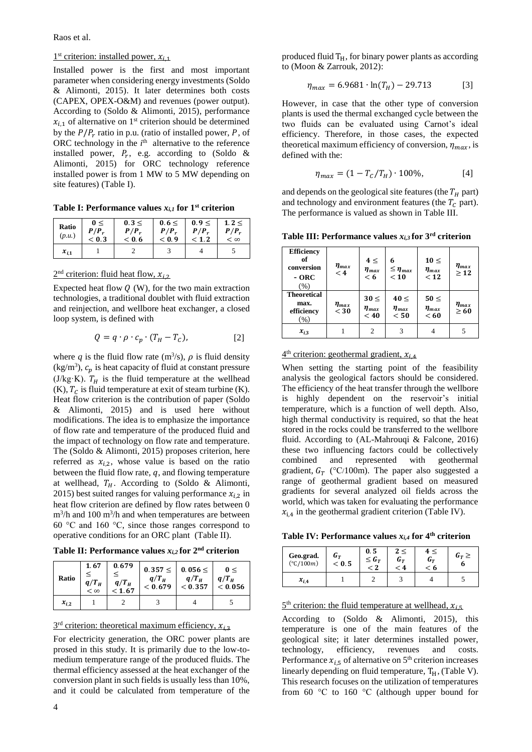Raos et al.

### $1<sup>st</sup>$  criterion: installed power,  $x_{i,1}$

Installed power is the first and most important parameter when considering energy investments (Soldo & Alimonti, 2015). It later determines both costs (CAPEX, OPEX-O&M) and revenues (power output). According to (Soldo & Alimonti, 2015), performance  $x_{i,1}$  of alternative on 1<sup>st</sup> criterion should be determined by the  $P/P_r$  ratio in p.u. (ratio of installed power, P, of ORC technology in the  $i<sup>th</sup>$  alternative to the reference installed power,  $P_r$ , e.g. according to (Soldo & Alimonti, 2015) for ORC technology reference installed power is from 1 MW to 5 MW depending on site features) [\(Table I\)](#page-3-0).

<span id="page-3-0"></span>**Table I: Performance values**  $x_{i,l}$  for 1<sup>st</sup> criterion

| Ratio<br>(p.u.) | 0<<br>$P/P_r$<br>< 0.3 | 0.3 <<br>$P/P_r$<br>< 0.6 | 0.6 <<br>$P/P_r$<br>< 0.9 | 0.9<<br>$P/P_r$<br>< 1.2 | 1.2 <<br>$P/P_r$<br>< 8 |
|-----------------|------------------------|---------------------------|---------------------------|--------------------------|-------------------------|
| $x_{i,1}$       |                        |                           |                           |                          |                         |

#### $2<sup>nd</sup>$  criterion: fluid heat flow,  $x_{i,2}$

Expected heat flow  $Q$  (W), for the two main extraction technologies, a traditional doublet with fluid extraction and reinjection, and wellbore heat exchanger, a closed loop system, is defined with

$$
Q = q \cdot \rho \cdot c_p \cdot (T_H - T_C), \tag{2}
$$

where q is the fluid flow rate  $(m^3/s)$ ,  $\rho$  is fluid density  $\text{(kg/m}^3)$ ,  $c_p$  is heat capacity of fluid at constant pressure (J/kg·K).  $T_H$  is the fluid temperature at the wellhead  $(K)$ ,  $T_c$  is fluid temperature at exit of steam turbine  $(K)$ . Heat flow criterion is the contribution of paper (Soldo & Alimonti, 2015) and is used here without modifications. The idea is to emphasize the importance of flow rate and temperature of the produced fluid and the impact of technology on flow rate and temperature. The (Soldo & Alimonti, 2015) proposes criterion, here referred as  $x_{i,2}$ , whose value is based on the ratio between the fluid flow rate,  $q$ , and flowing temperature at wellhead,  $T_H$ . According to (Soldo & Alimonti, 2015) best suited ranges for valuing performance  $x_{i,2}$  in heat flow criterion are defined by flow rates between 0  $\text{m}^3/\text{h}$  and 100 m<sup>3</sup>/h and when temperatures are between 60 °C and 160 °C, since those ranges correspond to operative conditions for an ORC plant [\(Table II\)](#page-3-1).

<span id="page-3-1"></span>**Table II: Performance values**  $x_{i,2}$  **for**  $2^{nd}$  **criterion** 

| Ratio     | 1.67<br>$q/T_H$<br>$< \infty$ | 0.679<br>$q/T_H$<br>< 1.67 | $0.357 \leq$<br>$q/T_{\rm H}$<br>< 0.679 | $0.056 \leq$<br>$q/T_H$<br>$< 0.357$   $< 0.056$ | 0<<br>$q/T_H$ |
|-----------|-------------------------------|----------------------------|------------------------------------------|--------------------------------------------------|---------------|
| $x_{i,2}$ |                               |                            |                                          |                                                  |               |

 $3<sup>rd</sup>$  criterion: theoretical maximum efficiency,  $x_{i,3}$ 

For electricity generation, the ORC power plants are prosed in this study. It is primarily due to the low-tomedium temperature range of the produced fluids. The thermal efficiency assessed at the heat exchanger of the conversion plant in such fields is usually less than 10%, and it could be calculated from temperature of the

$$
\eta_{max} = 6.9681 \cdot \ln(T_H) - 29.713 \tag{3}
$$

However, in case that the other type of conversion plants is used the thermal exchanged cycle between the two fluids can be evaluated using Carnot's ideal efficiency. Therefore, in those cases, the expected theoretical maximum efficiency of conversion,  $\eta_{max}$ , is defined with the:

$$
\eta_{max} = (1 - T_c/T_H) \cdot 100\%, \tag{4}
$$

and depends on the geological site features (the  $T_H$  part) and technology and environment features (the  $T_c$  part). The performance is valued as shown in [Table III.](#page-3-2)

<span id="page-3-2"></span>**Table III: Performance values** *xi,3* **for 3rd criterion**

| <b>Efficiency</b><br>of<br>conversion<br>$-$ ORC<br>(96) | $\eta_{max}$<br>$\leq 4$ | $4 \leq$<br>$\eta_{max}$<br>< 6   | 6<br>$\leq \eta_{max}$<br>< 10    | $10 \leq$<br>$\eta_{max}$<br>< 12 | $\eta_{max}$<br>>12 |
|----------------------------------------------------------|--------------------------|-----------------------------------|-----------------------------------|-----------------------------------|---------------------|
| <b>Theoretical</b><br>max.<br>efficiency<br>(%)          | $\eta_{max}$<br>$<$ 30   | $30 \leq$<br>$\eta_{max}$<br>< 40 | $40 \leq$<br>$\eta_{max}$<br>< 50 | $50 \leq$<br>$\eta_{max}$<br>< 60 | $\eta_{max}$<br>>60 |
| $x_{i,3}$                                                |                          | 2                                 |                                   |                                   |                     |

 $4<sup>th</sup>$  criterion: geothermal gradient,  $x_{i,4}$ 

When setting the starting point of the feasibility analysis the geological factors should be considered. The efficiency of the heat transfer through the wellbore is highly dependent on the reservoir's initial temperature, which is a function of well depth. Also, high thermal conductivity is required, so that the heat stored in the rocks could be transferred to the wellbore fluid. According to (AL-Mahrouqi & Falcone, 2016) these two influencing factors could be collectively combined and represented with geothermal gradient,  $G_T$  (°C/100m). The paper also suggested a range of geothermal gradient based on measured gradients for several analyzed oil fields across the world, which was taken for evaluating the performance  $x_{i,4}$  in the geothermal gradient criterion [\(Table IV\)](#page-3-3).

<span id="page-3-3"></span>**Table IV: Performance values** *xi,4* **for 4th criterion**

| Geo.grad.          | $G_T$   | 0.5        | Uт | Uт  | $G_T >$ |
|--------------------|---------|------------|----|-----|---------|
| $(^{\circ}C/100m)$ | $<$ 0.5 | $\leq G_T$ | 4  | . 6 | u       |
| $x_{i,4}$          |         |            |    |     |         |

#### $5<sup>th</sup>$  criterion: the fluid temperature at wellhead,  $x_{i,5}$

According to (Soldo & Alimonti, 2015), this temperature is one of the main features of the geological site; it later determines installed power, technology, efficiency, revenues and costs. Performance  $x_{i.5}$  of alternative on 5<sup>th</sup> criterion increases linearly depending on fluid temperature,  $T_H$ , [\(Table V\)](#page-4-0). This research focuses on the utilization of temperatures from 60 °C to 160 °C (although upper bound for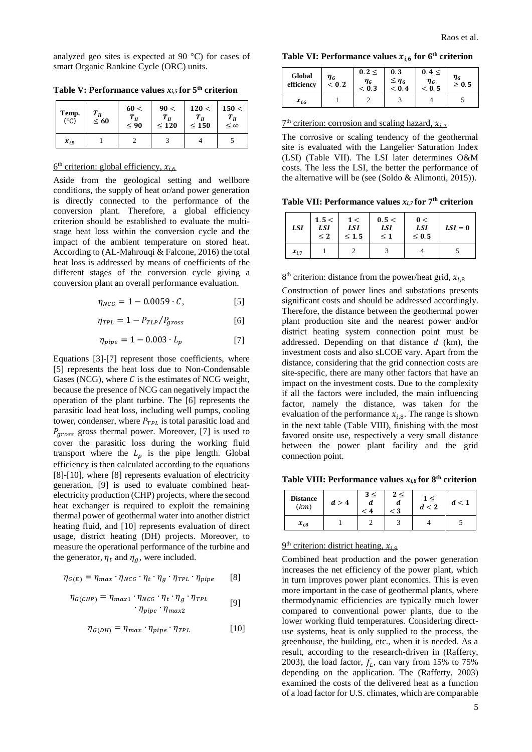analyzed geo sites is expected at 90 °C) for cases of smart Organic Rankine Cycle (ORC) units.

<span id="page-4-0"></span>**Table V: Performance values**  $x_{i,5}$  **for**  $5$ **<sup>th</sup> criterion** 

| Temp.<br>$(^\circ C)$ | $T_H$<br>$\leq 60$ | 60<<br>$T_H$<br>$\leq 90$ | 90 <<br>$T_H$<br>$\leq 120$ | 120 <<br>$T_H$<br>$\leq 150$ | 150 <<br>$T_H$<br>$\leq$ $\infty$ |
|-----------------------|--------------------|---------------------------|-----------------------------|------------------------------|-----------------------------------|
| $x_{i.5}$             |                    |                           |                             |                              |                                   |

#### $6<sup>th</sup>$  criterion: global efficiency,  $x_{i,6}$

Aside from the geological setting and wellbore conditions, the supply of heat or/and power generation is directly connected to the performance of the conversion plant. Therefore, a global efficiency criterion should be established to evaluate the multistage heat loss within the conversion cycle and the impact of the ambient temperature on stored heat. According to (AL-Mahrouqi & Falcone, 2016) the total heat loss is addressed by means of coefficients of the different stages of the conversion cycle giving a conversion plant an overall performance evaluation.

$$
\eta_{NCG} = 1 - 0.0059 \cdot C, \qquad [5]
$$

$$
\eta_{TPL} = 1 - P_{TLP} / P_{gross} \tag{6}
$$

$$
\eta_{pipe} = 1 - 0.003 \cdot L_p \tag{7}
$$

Equations [3]-[7] represent those coefficients, where [5] represents the heat loss due to Non-Condensable Gases (NCG), where  $C$  is the estimates of NCG weight, because the presence of NCG can negatively impact the operation of the plant turbine. The [6] represents the parasitic load heat loss, including well pumps, cooling tower, condenser, where  $P_{TPL}$  is total parasitic load and  $P_{aross}$  gross thermal power. Moreover, [7] is used to cover the parasitic loss during the working fluid transport where the  $L_p$  is the pipe length. Global efficiency is then calculated according to the equations [8]-[10], where [8] represents evaluation of electricity generation, [9] is used to evaluate combined heatelectricity production (CHP) projects, where the second heat exchanger is required to exploit the remaining thermal power of geothermal water into another district heating fluid, and [10] represents evaluation of direct usage, district heating (DH) projects. Moreover, to measure the operational performance of the turbine and the generator,  $\eta_t$  and  $\eta_q$ , were included.

$$
\eta_{G(E)} = \eta_{max} \cdot \eta_{NCG} \cdot \eta_t \cdot \eta_g \cdot \eta_{TPL} \cdot \eta_{pipe} \qquad [8]
$$

$$
\eta_{G(CHP)} = \eta_{max1} \cdot \eta_{NCG} \cdot \eta_t \cdot \eta_g \cdot \eta_{TPL}
$$
  

$$
\cdot \eta_{pipe} \cdot \eta_{max2}
$$
 [9]

$$
\eta_{G(DH)} = \eta_{max} \cdot \eta_{pipe} \cdot \eta_{TPL} \tag{10}
$$

Table VI: Performance values  $x_{i,6}$  for 6<sup>th</sup> criterion

| Global<br>efficiency | $\eta_G$<br>< 0.2 | $0.2 \leq$<br>$\boldsymbol{\eta_{G}}$<br>< 0.3 | 0.3<br>$\leq \eta$ <sub>G</sub><br>< 0.4 | $0.4 \leq$<br>$\eta_G$<br>< 0.5 | $\boldsymbol{\eta}_{\boldsymbol{G}}$<br>$\geq 0.5$ |
|----------------------|-------------------|------------------------------------------------|------------------------------------------|---------------------------------|----------------------------------------------------|
| $x_{i,6}$            |                   |                                                |                                          |                                 |                                                    |

 $7<sup>th</sup>$  criterion: corrosion and scaling hazard,  $x_{i,7}$ 

The corrosive or scaling tendency of the geothermal site is evaluated with the Langelier Saturation Index (LSI) [\(Table VII\)](#page-4-1). The LSI later determines O&M costs. The less the LSI, the better the performance of the alternative will be (see (Soldo & Alimonti, 2015)).

<span id="page-4-1"></span>**Table VII: Performance values** *xi,7* **for 7 th criterion**

| LSI       | 1.5 <<br><b>LSI</b><br>< 2 | 1<<br><b>LSI</b><br>$\leq 1.5$ | 0.5 <<br><b>LSI</b><br>$\leq 1$ | 0<<br><b>LSI</b><br>< 0.5 | $LSI = 0$ |
|-----------|----------------------------|--------------------------------|---------------------------------|---------------------------|-----------|
| $x_{i.7}$ |                            |                                |                                 |                           |           |

### $8<sup>th</sup>$  criterion: distance from the power/heat grid,  $x_{i,8}$

Construction of power lines and substations presents significant costs and should be addressed accordingly. Therefore, the distance between the geothermal power plant production site and the nearest power and/or district heating system connection point must be addressed. Depending on that distance  $d$  (km), the investment costs and also sLCOE vary. Apart from the distance, considering that the grid connection costs are site-specific, there are many other factors that have an impact on the investment costs. Due to the complexity if all the factors were included, the main influencing factor, namely the distance, was taken for the evaluation of the performance  $x_{i,8}$ . The range is shown in the next table [\(Table VIII\)](#page-4-2), finishing with the most favored onsite use, respectively a very small distance between the power plant facility and the grid connection point.

<span id="page-4-2"></span>**Table VIII: Performance values** *xi,8* **for 8 th criterion**

| <b>Distance</b><br>(km) | d > 4 | $3 \leq$<br>а<br>$\leq 4$ | 2 <<br>и<br>$\rm < 3$ | $1 \leq$<br>d < 2 | d < 1 |
|-------------------------|-------|---------------------------|-----------------------|-------------------|-------|
| $x_{i,8}$               |       |                           |                       |                   |       |

### $9<sup>th</sup>$  criterion: district heating,  $x_{i,9}$

Combined heat production and the power generation increases the net efficiency of the power plant, which in turn improves power plant economics. This is even more important in the case of geothermal plants, where thermodynamic efficiencies are typically much lower compared to conventional power plants, due to the lower working fluid temperatures. Considering directuse systems, heat is only supplied to the process, the greenhouse, the building, etc., when it is needed. As a result, according to the research-driven in (Rafferty, 2003), the load factor,  $f_L$ , can vary from 15% to 75% depending on the application. The (Rafferty, 2003) examined the costs of the delivered heat as a function of a load factor for U.S. climates, which are comparable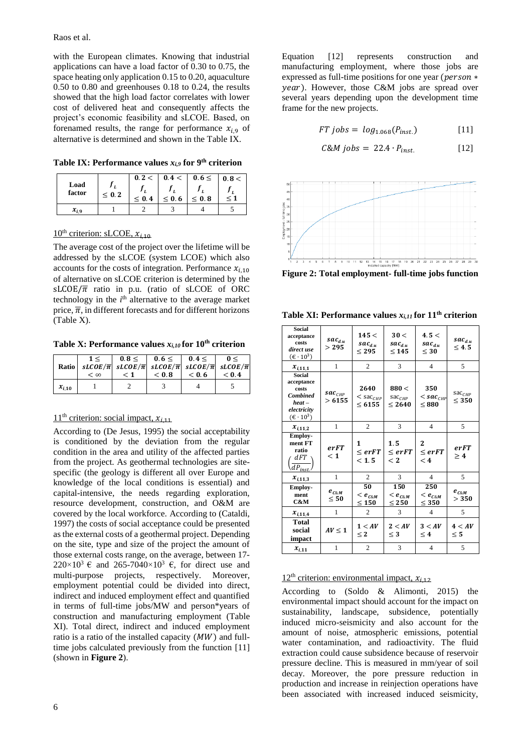with the European climates. Knowing that industrial applications can have a load factor of 0.30 to 0.75, the space heating only application 0.15 to 0.20, aquaculture 0.50 to 0.80 and greenhouses 0.18 to 0.24, the results showed that the high load factor correlates with lower cost of delivered heat and consequently affects the project's economic feasibility and sLCOE. Based, on forenamed results, the range for performance  $x_i$  of alternative is determined and shown in th[e Table IX.](#page-5-0)

<span id="page-5-0"></span>**Table IX: Performance values** *xi,9* **for 9 th criterion**

| Load<br>factor | < 0.2 | 0.2 <<br>< 0.4 | 0.4 <<br>$\leq 0.6$ | $0.6 \leq$<br>< 0.8 | 0.8 <<br>≤ 1 |
|----------------|-------|----------------|---------------------|---------------------|--------------|
| $x_{i,9}$      |       |                |                     |                     |              |

## $10^{th}$  criterion: sLCOE,  $x_{i,10}$

The average cost of the project over the lifetime will be addressed by the sLCOE (system LCOE) which also accounts for the costs of integration. Performance  $x_{i,10}$ of alternative on sLCOE criterion is determined by the  $SLCOE/\overline{\pi}$  ratio in p.u. (ratio of sLCOE of ORC technology in the  $i<sup>th</sup>$  alternative to the average market price,  $\overline{\pi}$ , in different forecasts and for different horizons [\(Table X\)](#page-5-1).

<span id="page-5-1"></span>**Table X: Performance values** *xi,10* **for 10th criterion**

| Ratio      | 1<<br>$< \infty$ | $\leq 1$ | $0.8<$ $0.6<$ $0.4<$<br>$sLCOE/\overline{\pi}$ $sLCOE/\overline{\pi}$ $sLCOE/\overline{\pi}$ $sLCOE/\overline{\pi}$ $sLCOE/\overline{\pi}$<br>< 0.8 | < 0.6 | 0<<br>< 0.4 |
|------------|------------------|----------|-----------------------------------------------------------------------------------------------------------------------------------------------------|-------|-------------|
| $x_{i,10}$ |                  |          |                                                                                                                                                     |       |             |

## $11<sup>th</sup>$  criterion: social impact,  $x_{i,11}$

According to (De Jesus, 1995) the social acceptability is conditioned by the deviation from the regular condition in the area and utility of the affected parties from the project. As geothermal technologies are sitespecific (the geology is different all over Europe and knowledge of the local conditions is essential) and capital-intensive, the needs regarding exploration, resource development, construction, and O&M are covered by the local workforce. According to (Cataldi, 1997) the costs of social acceptance could be presented as the external costs of a geothermal project. Depending on the site, type and size of the project the amount of those external costs range, on the average, between 17-  $220\times10^{3}$  € and  $265-7040\times10^{3}$  €, for direct use and multi-purpose projects, respectively. Moreover, employment potential could be divided into direct, indirect and induced employment effect and quantified in terms of full-time jobs/MW and person\*years of construction and manufacturing employment [\(Table](#page-5-2)  [XI\)](#page-5-2). Total direct, indirect and induced employment ratio is a ratio of the installed capacity  $(MW)$  and fulltime jobs calculated previously from the function [11] (shown in **[Figure 2](#page-5-3)**).

Equation [12] represents construction and manufacturing employment, where those jobs are expressed as full-time positions for one year ( $person*$ ). However, those C&M jobs are spread over several years depending upon the development time frame for the new projects.

$$
FT\, jobs = \, log_{1.068}(P_{inst.}) \tag{11}
$$

$$
C\&M\ jobs = 22.4 \cdot P_{inst.} \qquad [12]
$$



<span id="page-5-3"></span>**Figure 2: Total employment- full-time jobs function**

<span id="page-5-2"></span>**Table XI: Performance values** *xi,11* **for 11 th criterion**

| <b>Social</b><br>acceptance<br>costs<br>direct use<br>$(\epsilon \cdot 10^3)$                                        | $sac_{d,u}$<br>> 295                                 | 145 <<br>$sac_{du}$<br>< 295         | 30 <<br>$sac_{du}$<br>$<$ 145           | 4.5 <<br>$sac_{du}$<br>$\leq 30$    | $sac_{d,u}$<br>$\leq 4.5$     |
|----------------------------------------------------------------------------------------------------------------------|------------------------------------------------------|--------------------------------------|-----------------------------------------|-------------------------------------|-------------------------------|
| $x_{i,11,1}$                                                                                                         | 1                                                    | $\mathfrak{2}$                       | 3                                       | $\overline{4}$                      | 5                             |
| Social<br>acceptance<br>costs<br><b>Combined</b><br>$heat -$<br>electricity<br>$(\textbf{\textsterling} \cdot 10^3)$ | $\boldsymbol{\mathit{ sac}}_{\mathit{CHP}}$<br>>6155 | 2640<br>$<$ sac $_{CHP}$<br>< 6155   | 880 <<br>$sac$ <sub>CHP</sub><br>< 2640 | 350<br>$<$ sac $_{CHP}$<br>< 880    | $\text{sac}_{CHP}$<br>$<$ 350 |
| $x_{i.11.2}$                                                                                                         | 1                                                    | $\mathfrak{2}$                       | 3                                       | $\overline{4}$                      | 5                             |
| Employ-<br>ment FT<br>ratio<br>dFT<br>$dP_{inst}$                                                                    | erFT<br>< 1                                          | 1<br>$<$ $err$<br>< 1.5              | 1.5<br>$\epsilon$ erFT<br>$<$ 2         | 2<br>$<$ $err$<br>$\leq 4$          | erFT<br>>4                    |
| $x_{i,11,3}$                                                                                                         | 1                                                    | $\overline{2}$                       | 3                                       | $\overline{4}$                      | 5                             |
| <b>Employ-</b><br>ment<br>C&M                                                                                        | $e_{c_{\mathcal{R}M}}$<br>$\leq 50$                  | 50<br>$<$ $e_{c\&M}$<br>$<$ 150 $\,$ | 150<br>$\lt e_{c\&M}$<br>$\leq 250$     | 250<br>$<$ $e_{c_{\&M}}$<br>$<$ 350 | $e_{c_{\kappa M}}$<br>> 350   |
| $x_{i,11,4}$                                                                                                         | 1                                                    | 2                                    | 3                                       | $\overline{4}$                      | 5                             |
| Total<br>social<br>impact                                                                                            | $AV \leq 1$                                          | 1 < AV<br>$\leq 2$                   | 2 < AV<br>$<$ 3                         | 3 < AV<br>$\leq 4$                  | 4 < AV<br>< 5                 |
| $x_{i,11}$                                                                                                           | 1                                                    | $\overline{2}$                       | 3                                       | 4                                   | 5                             |

## $12<sup>th</sup>$  criterion: environmental impact,  $x_{i,12}$

According to (Soldo & Alimonti, 2015) the environmental impact should account for the impact on sustainability, landscape, subsidence, potentially induced micro-seismicity and also account for the amount of noise, atmospheric emissions, potential water contamination, and radioactivity. The fluid extraction could cause subsidence because of reservoir pressure decline. This is measured in mm/year of soil decay. Moreover, the pore pressure reduction in production and increase in reinjection operations have been associated with increased induced seismicity,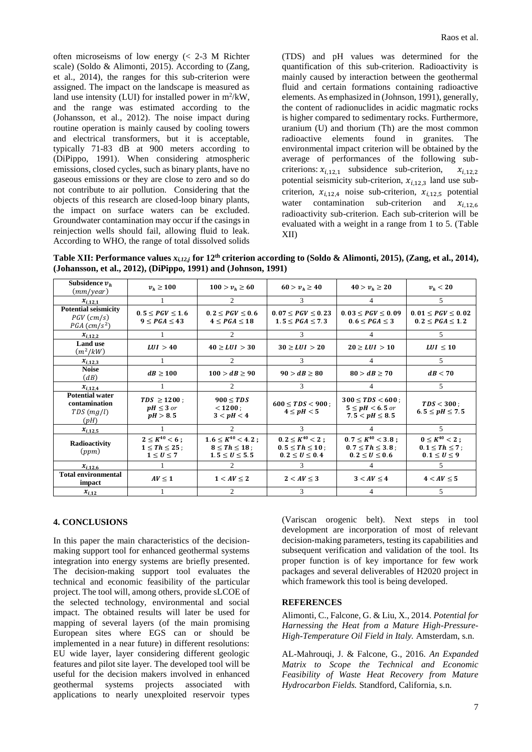often microseisms of low energy (< 2-3 M Richter scale) (Soldo & Alimonti, 2015). According to (Zang, et al., 2014), the ranges for this sub-criterion were assigned. The impact on the landscape is measured as land use intensity (LUI) for installed power in  $m^2/kW$ , and the range was estimated according to the (Johansson, et al., 2012). The noise impact during routine operation is mainly caused by cooling towers and electrical transformers, but it is acceptable, typically 71-83 dB at 900 meters according to (DiPippo, 1991). When considering atmospheric emissions, closed cycles, such as binary plants, have no gaseous emissions or they are close to zero and so do not contribute to air pollution. Considering that the objects of this research are closed-loop binary plants, the impact on surface waters can be excluded. Groundwater contamination may occur if the casings in reinjection wells should fail, allowing fluid to leak. According to WHO, the range of total dissolved solids

(TDS) and pH values was determined for the quantification of this sub-criterion. Radioactivity is mainly caused by interaction between the geothermal fluid and certain formations containing radioactive elements. As emphasized in (Johnson, 1991), generally, the content of radionuclides in acidic magmatic rocks is higher compared to sedimentary rocks. Furthermore, uranium (U) and thorium (Th) are the most common radioactive elements found in granites. The environmental impact criterion will be obtained by the average of performances of the following subcriterions:  $x_{i,12,1}$  subsidence sub-criterion,  $x_{i,12,2}$ potential seismicity sub-criterion,  $x_{i,12,3}$  land use subcriterion,  $x_{i12,4}$  noise sub-criterion,  $x_{i12,5}$  potential water contamination sub-criterion and  $x_{i,12.6}$ radioactivity sub-criterion. Each sub-criterion will be evaluated with a weight in a range from 1 to 5. [\(Table](#page-6-0)  [XII\)](#page-6-0)

<span id="page-6-0"></span>**Table XII: Performance values**  $x_{i,12,j}$  **for**  $12^{th}$  **criterion according to (Soldo & Alimonti, 2015), (Zang, et al., 2014), (Johansson, et al., 2012), (DiPippo, 1991) and (Johnson, 1991)**

| Subsidence $v_h$<br>(mm/year)                                    | $v_h \ge 100$                                                       | $100 > v_h \ge 60$                                                      | $60 > v_h \ge 40$                                                       | $40 > v_h \ge 20$                                                          | $v_h < 20$                                                             |
|------------------------------------------------------------------|---------------------------------------------------------------------|-------------------------------------------------------------------------|-------------------------------------------------------------------------|----------------------------------------------------------------------------|------------------------------------------------------------------------|
| $x_{i,12,1}$                                                     |                                                                     | 2                                                                       | 3                                                                       | 4                                                                          | 5                                                                      |
| <b>Potential seismicity</b><br>$PGV$ (cm/s)<br>$PGA \, (cm/s^2)$ | $0.5 \leq PGV \leq 1.6$<br>$9 \leq PGA \leq 43$                     | $0.2 \leq PGV \leq 0.6$<br>$4 \leq PGA \leq 18$                         | $0.07 \leq PGV \leq 0.23$<br>$1.5 \leq PGA \leq 7.3$                    | $0.03 \leq PGV \leq 0.09$<br>$0.6 \leq PGA \leq 3$                         | $0.01 \leq PGV \leq 0.02$<br>$0.2 \leq PGA \leq 1.2$                   |
| $x_{i,12,2}$                                                     |                                                                     | $\mathcal{D}_{\mathcal{L}}$                                             | 3.                                                                      | 4                                                                          | 5                                                                      |
| <b>Land use</b><br>$(m^2/kW)$                                    | LUI > 40                                                            | $40 \ge LUI > 30$                                                       | $30 \geq LUI > 20$                                                      | $20 \geq LUI > 10$                                                         | $LUI \leq 10$                                                          |
| $x_{i,12,3}$                                                     |                                                                     | $\mathcal{D}_{\mathcal{L}}$                                             | 3                                                                       | 4                                                                          | .5                                                                     |
| <b>Noise</b><br>$\left( dB\right)$                               | $dB \ge 100$                                                        | $100 > dB \ge 90$                                                       | $90 > dB \ge 80$                                                        | $80 > dB \ge 70$                                                           | dB < 70                                                                |
| $x_{i,12.4}$                                                     |                                                                     | $\mathfrak{D}$                                                          | 3                                                                       | 4                                                                          | 5.                                                                     |
| <b>Potential water</b><br>contamination<br>TDS(mg/l)<br>(pH)     | $TDS \ge 1200$ ;<br>$pH \leq 3$ or<br>pH > 8.5                      | $900 \leq TDS$<br>< 1200:<br>3 < pH < 4                                 | $600 \leq TDS < 900$ :<br>$4 \leq pH < 5$                               | $300 \leq TDS < 600$ ;<br>$5 \leq pH < 6.5$ or<br>$7.5 < pH \leq 8.5$      | $TDS < 300$ :<br>$6.5 \leq pH \leq 7.5$                                |
| $x_{i,12,5}$                                                     |                                                                     | $\mathcal{D}$                                                           | $\mathcal{F}$                                                           |                                                                            | 5                                                                      |
| Radioactivity<br>(ppm)                                           | $2 \leq K^{40} < 6$ ;<br>$1 \leq Th \leq 25$ :<br>$1 \leq U \leq 7$ | $1.6 \leq K^{40} < 4.2$ ;<br>$8 \le Th \le 18$ :<br>$1.5 \le U \le 5.5$ | $0.2 \leq K^{40} < 2$ ;<br>$0.5 \le Th \le 10$ :<br>$0.2 \le U \le 0.4$ | $0.7 \leq K^{40} < 3.8$ ;<br>$0.7 \le Th \le 3.8$ ;<br>$0.2 \le U \le 0.6$ | $0 \leq K^{40} < 2$ ;<br>$0.1 \leq Th \leq 7$ ;<br>$0.1 \leq U \leq 9$ |
| $x_{i,12,6}$                                                     |                                                                     | $\mathcal{D}_{\mathcal{L}}$                                             | 3.                                                                      |                                                                            | 5                                                                      |
| <b>Total environmental</b><br>impact                             | $AV \leq 1$                                                         | $1 < AV \leq 2$                                                         | $2 < AV \leq 3$                                                         | $3 < AV \leq 4$                                                            | $4 < AV \leq 5$                                                        |
| $x_{i,12}$                                                       |                                                                     | 2                                                                       | 3                                                                       | 4                                                                          | 5                                                                      |

#### **4. CONCLUSIONS**

In this paper the main characteristics of the decisionmaking support tool for enhanced geothermal systems integration into energy systems are briefly presented. The decision-making support tool evaluates the technical and economic feasibility of the particular project. The tool will, among others, provide sLCOE of the selected technology, environmental and social impact. The obtained results will later be used for mapping of several layers (of the main promising European sites where EGS can or should be implemented in a near future) in different resolutions: EU wide layer, layer considering different geologic features and pilot site layer. The developed tool will be useful for the decision makers involved in enhanced geothermal systems projects associated with applications to nearly unexploited reservoir types

(Variscan orogenic belt). Next steps in tool development are incorporation of most of relevant decision-making parameters, testing its capabilities and subsequent verification and validation of the tool. Its proper function is of key importance for few work packages and several deliverables of H2020 project in which framework this tool is being developed.

#### **REFERENCES**

Alimonti, C., Falcone, G. & Liu, X., 2014. *Potential for Harnessing the Heat from a Mature High-Pressure-High-Temperature Oil Field in Italy.* Amsterdam, s.n.

AL-Mahrouqi, J. & Falcone, G., 2016. *An Expanded Matrix to Scope the Technical and Economic Feasibility of Waste Heat Recovery from Mature Hydrocarbon Fields.* Standford, California, s.n.